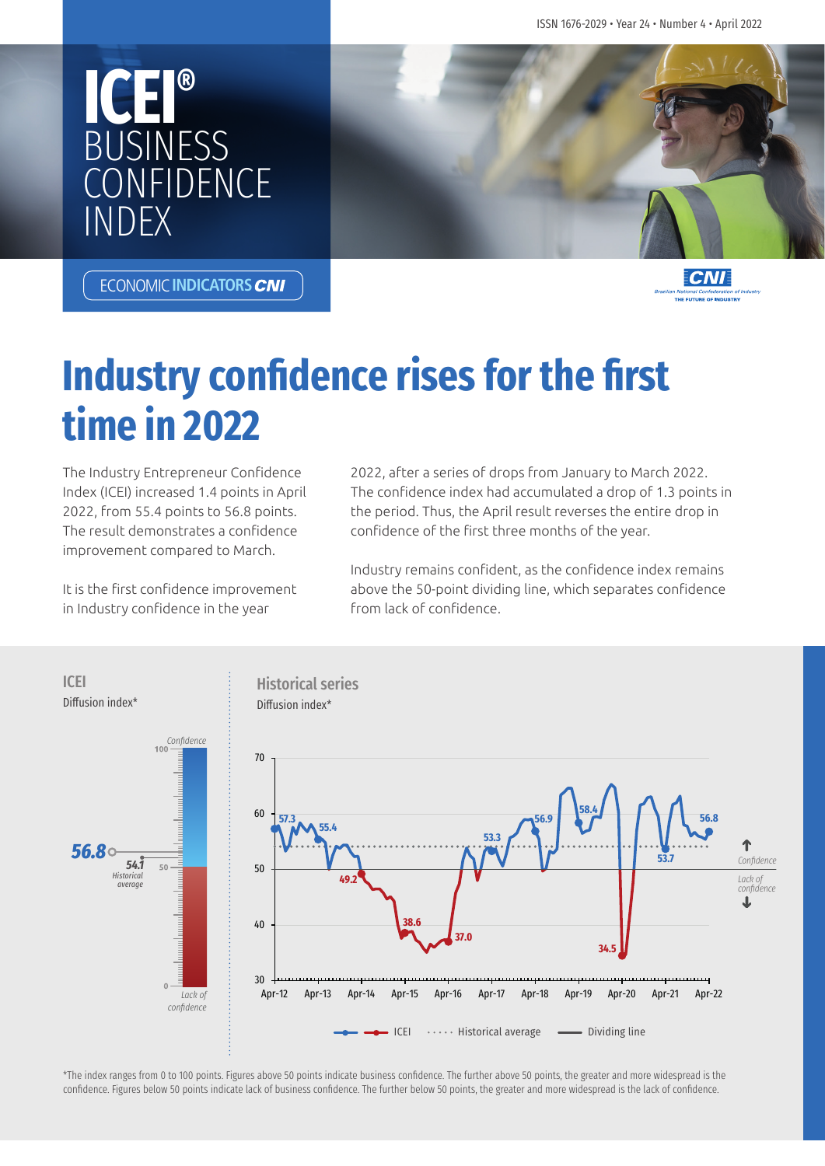ISSN 1676-2029 • Year 24 • Number 4 • April 2022





**ECONOMIC INDICATORS CNI** 



# **Industry confidence rises for the first time in 2022**

The Industry Entrepreneur Confidence Index (ICEI) increased 1.4 points in April 2022, from 55.4 points to 56.8 points. The result demonstrates a confidence improvement compared to March.

It is the first confidence improvement in Industry confidence in the year

2022, after a series of drops from January to March 2022. The confidence index had accumulated a drop of 1.3 points in the period. Thus, the April result reverses the entire drop in confidence of the first three months of the year.

Industry remains confident, as the confidence index remains above the 50-point dividing line, which separates confidence from lack of confidence.



\*The index ranges from 0 to 100 points. Figures above 50 points indicate business confidence. The further above 50 points, the greater and more widespread is the confidence. Figures below 50 points indicate lack of business confidence. The further below 50 points, the greater and more widespread is the lack of confidence.